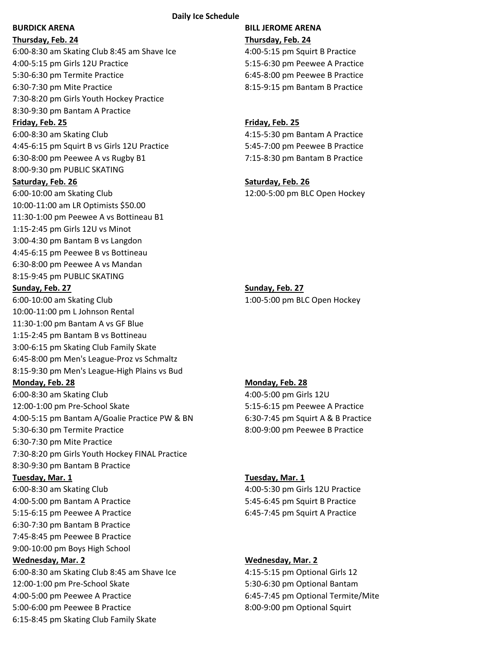### **Daily Ice Schedule**

**Thursday, Feb. 24 Thursday, Feb. 24** 6:00-8:30 am Skating Club 8:45 am Shave Ice 4:00-5:15 pm Squirt B Practice 4:00-5:15 pm Girls 12U Practice 5:15-6:30 pm Peewee A Practice 5:30-6:30 pm Termite Practice 6:45-8:00 pm Peewee B Practice 6:30-7:30 pm Mite Practice 8:15-9:15 pm Bantam B Practice 7:30-8:20 pm Girls Youth Hockey Practice 8:30-9:30 pm Bantam A Practice

6:00-8:30 am Skating Club 4:15-5:30 pm Bantam A Practice 4:45-6:15 pm Squirt B vs Girls 12U Practice 5:45-7:00 pm Peewee B Practice 6:30-8:00 pm Peewee A vs Rugby B1 7:15-8:30 pm Bantam B Practice 8:00-9:30 pm PUBLIC SKATING

6:00-10:00 am Skating Club 12:00-5:00 pm BLC Open Hockey 10:00-11:00 am LR Optimists \$50.00 11:30-1:00 pm Peewee A vs Bottineau B1 1:15-2:45 pm Girls 12U vs Minot 3:00-4:30 pm Bantam B vs Langdon 4:45-6:15 pm Peewee B vs Bottineau 6:30-8:00 pm Peewee A vs Mandan 8:15-9:45 pm PUBLIC SKATING

6:00-10:00 am Skating Club 1:00-5:00 pm BLC Open Hockey 10:00-11:00 pm L Johnson Rental 11:30-1:00 pm Bantam A vs GF Blue 1:15-2:45 pm Bantam B vs Bottineau 3:00-6:15 pm Skating Club Family Skate 6:45-8:00 pm Men's League-Proz vs Schmaltz 8:15-9:30 pm Men's League-High Plains vs Bud

### **Monday, Feb. 28 Monday, Feb. 28**

6:00-8:30 am Skating Club 4:00-5:00 pm Girls 12U 12:00-1:00 pm Pre-School Skate 5:15-6:15 pm Peewee A Practice 4:00-5:15 pm Bantam A/Goalie Practice PW & BN 6:30-7:45 pm Squirt A & B Practice 5:30-6:30 pm Termite Practice 8:00-9:00 pm Peewee B Practice 6:30-7:30 pm Mite Practice 7:30-8:20 pm Girls Youth Hockey FINAL Practice 8:30-9:30 pm Bantam B Practice

6:00-8:30 am Skating Club 4:00-5:30 pm Girls 12U Practice 4:00-5:00 pm Bantam A Practice 5:45-6:45 pm Squirt B Practice 5:15-6:15 pm Peewee A Practice 6:45-7:45 pm Squirt A Practice 6:30-7:30 pm Bantam B Practice 7:45-8:45 pm Peewee B Practice 9:00-10:00 pm Boys High School **Wednesday, Mar. 2 Wednesday, Mar. 2** 6:00-8:30 am Skating Club 8:45 am Shave Ice 4:15-5:15 pm Optional Girls 12 12:00-1:00 pm Pre-School Skate 5:30-6:30 pm Optional Bantam 4:00-5:00 pm Peewee A Practice 6:45-7:45 pm Optional Termite/Mite 5:00-6:00 pm Peewee B Practice 8:00-9:00 pm Optional Squirt 6:15-8:45 pm Skating Club Family Skate

# **BURDICK ARENA BILL JEROME ARENA**

### **Friday, Feb. 25 Friday, Feb. 25**

### **Saturday, Feb. 26 Saturday, Feb. 26**

## **Sunday, Feb. 27 Sunday, Feb. 27**

### **Tuesday, Mar. 1 Tuesday, Mar. 1**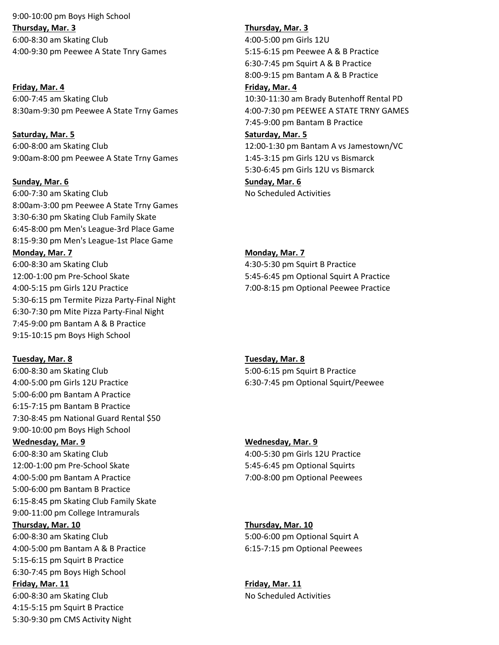9:00-10:00 pm Boys High School **Thursday, Mar. 3 Thursday, Mar. 3** 6:00-8:30 am Skating Club 4:00-5:00 pm Girls 12U 4:00-9:30 pm Peewee A State Tnry Games 5:15-6:15 pm Peewee A & B Practice

**Friday, Mar. 4 Friday, Mar. 4** 6:00-7:45 am Skating Club 10:30-11:30 am Brady Butenhoff Rental PD 8:30am-9:30 pm Peewee A State Trny Games 4:00-7:30 pm PEEWEE A STATE TRNY GAMES

**Saturday, Mar. 5 Saturday, Mar. 5** 6:00-8:00 am Skating Club 12:00-1:30 pm Bantam A vs Jamestown/VC 9:00am-8:00 pm Peewee A State Trny Games 1:45-3:15 pm Girls 12U vs Bismarck

### **Sunday, Mar. 6 Sunday, Mar. 6**

6:00-7:30 am Skating Club No Scheduled Activities 8:00am-3:00 pm Peewee A State Trny Games 3:30-6:30 pm Skating Club Family Skate 6:45-8:00 pm Men's League-3rd Place Game 8:15-9:30 pm Men's League-1st Place Game **Monday, Mar. 7 Monday, Mar. 7** 6:00-8:30 am Skating Club 4:30-5:30 pm Squirt B Practice 12:00-1:00 pm Pre-School Skate 5:45-6:45 pm Optional Squirt A Practice 4:00-5:15 pm Girls 12U Practice 7:00-8:15 pm Optional Peewee Practice 5:30-6:15 pm Termite Pizza Party-Final Night 6:30-7:30 pm Mite Pizza Party-Final Night 7:45-9:00 pm Bantam A & B Practice 9:15-10:15 pm Boys High School

**Tuesday, Mar. 8 Tuesday, Mar. 8**

6:00-8:30 am Skating Club 5:00-6:15 pm Squirt B Practice 4:00-5:00 pm Girls 12U Practice 6:30-7:45 pm Optional Squirt/Peewee 5:00-6:00 pm Bantam A Practice 6:15-7:15 pm Bantam B Practice 7:30-8:45 pm National Guard Rental \$50 9:00-10:00 pm Boys High School **Wednesday, Mar. 9 Wednesday, Mar. 9**

12:00-1:00 pm Pre-School Skate 5:45-6:45 pm Optional Squirts 4:00-5:00 pm Bantam A Practice 7:00-8:00 pm Optional Peewees 5:00-6:00 pm Bantam B Practice 6:15-8:45 pm Skating Club Family Skate 9:00-11:00 pm College Intramurals

6:00-8:30 am Skating Club 5:00-6:00 pm Optional Squirt A 4:00-5:00 pm Bantam A & B Practice 6:15-7:15 pm Optional Peewees 5:15-6:15 pm Squirt B Practice 6:30-7:45 pm Boys High School

6:00-8:30 am Skating Club 100 and 100 and 100 and 100 and 100 and 100 and 100 and 100 and 100 and 100 and 100 and 100 and 100 and 100 and 100 and 100 and 100 and 100 and 100 and 100 and 100 and 100 and 100 and 100 and 100 4:15-5:15 pm Squirt B Practice 5:30-9:30 pm CMS Activity Night

6:30-7:45 pm Squirt A & B Practice 8:00-9:15 pm Bantam A & B Practice

7:45-9:00 pm Bantam B Practice

5:30-6:45 pm Girls 12U vs Bismarck

6:00-8:30 am Skating Club 4:00-5:30 pm Girls 12U Practice

### **Thursday, Mar. 10 Thursday, Mar. 10**

**Friday, Mar. 11 Friday, Mar. 11**